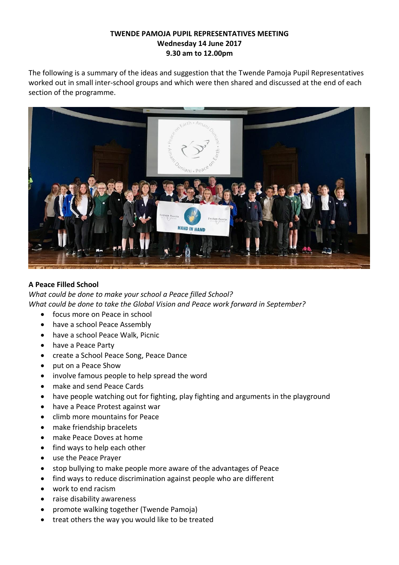## **TWENDE PAMOJA PUPIL REPRESENTATIVES MEETING Wednesday 14 June 2017 9.30 am to 12.00pm**

The following is a summary of the ideas and suggestion that the Twende Pamoja Pupil Representatives worked out in small inter-school groups and which were then shared and discussed at the end of each section of the programme.



# **A Peace Filled School**

*What could be done to make your school a Peace filled School? What could be done to take the Global Vision and Peace work forward in September?*

- focus more on Peace in school
- have a school Peace Assembly
- have a school Peace Walk, Picnic
- have a Peace Party
- create a School Peace Song, Peace Dance
- put on a Peace Show
- involve famous people to help spread the word
- make and send Peace Cards
- have people watching out for fighting, play fighting and arguments in the playground
- have a Peace Protest against war
- climb more mountains for Peace
- make friendship bracelets
- make Peace Doves at home
- find ways to help each other
- use the Peace Prayer
- stop bullying to make people more aware of the advantages of Peace
- find ways to reduce discrimination against people who are different
- work to end racism
- raise disability awareness
- promote walking together (Twende Pamoja)
- treat others the way you would like to be treated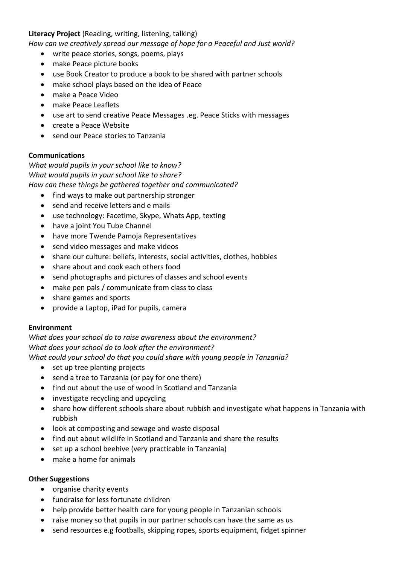### **Literacy Project** (Reading, writing, listening, talking)

*How can we creatively spread our message of hope for a Peaceful and Just world?*

- write peace stories, songs, poems, plays
- make Peace picture books
- use Book Creator to produce a book to be shared with partner schools
- make school plays based on the idea of Peace
- make a Peace Video
- make Peace Leaflets
- use art to send creative Peace Messages .eg. Peace Sticks with messages
- create a Peace Website
- send our Peace stories to Tanzania

#### **Communications**

*What would pupils in your school like to know? What would pupils in your school like to share? How can these things be gathered together and communicated?*

- find ways to make out partnership stronger
- send and receive letters and e mails
- use technology: Facetime, Skype, Whats App, texting
- have a joint You Tube Channel
- have more Twende Pamoja Representatives
- send video messages and make videos
- share our culture: beliefs, interests, social activities, clothes, hobbies
- share about and cook each others food
- send photographs and pictures of classes and school events
- make pen pals / communicate from class to class
- share games and sports
- provide a Laptop, iPad for pupils, camera

#### **Environment**

*What does your school do to raise awareness about the environment? What does your school do to look after the environment? What could your school do that you could share with young people in Tanzania?*

- set up tree planting projects
- send a tree to Tanzania (or pay for one there)
- find out about the use of wood in Scotland and Tanzania
- investigate recycling and upcycling
- share how different schools share about rubbish and investigate what happens in Tanzania with rubbish
- look at composting and sewage and waste disposal
- find out about wildlife in Scotland and Tanzania and share the results
- set up a school beehive (very practicable in Tanzania)
- make a home for animals

#### **Other Suggestions**

- organise charity events
- fundraise for less fortunate children
- help provide better health care for young people in Tanzanian schools
- raise money so that pupils in our partner schools can have the same as us
- send resources e.g footballs, skipping ropes, sports equipment, fidget spinner